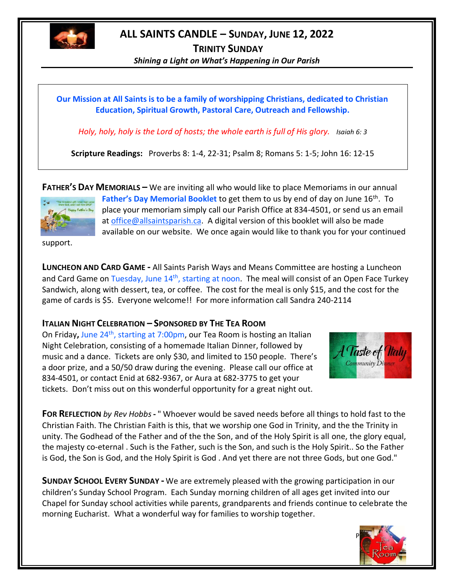

## **ALL SAINTS CANDLE – SUNDAY, JUNE 12, 2022**

**TRINITY SUNDAY** *Shining a Light on What's Happening in Our Parish*

**Our Mission at All Saints is to be a family of worshipping Christians, dedicated to Christian Education, Spiritual Growth, Pastoral Care, Outreach and Fellowship.**

*Holy, holy, holy is the Lord of hosts; the whole earth is full of His glory. Isaiah 6: 3* 

**Scripture Readings:** Proverbs 8: 1-4, 22-31; Psalm 8; Romans 5: 1-5; John 16: 12-15

**FATHER'S DAY MEMORIALS –** We are inviting all who would like to place Memoriams in our annual



**Father's Day Memorial Booklet** to get them to us by end of day on June 16th. To place your memoriam simply call our Parish Office at 834-4501, or send us an email at [office@allsaintsparish.ca.](mailto:office@allsaintsparish.ca) A digital version of this booklet will also be made available on our website. We once again would like to thank you for your continued

support.

**LUNCHEON AND CARD GAME -** All Saints Parish Ways and Means Committee are hosting a Luncheon and Card Game on Tuesday, June 14<sup>th</sup>, starting at noon. The meal will consist of an Open Face Turkey Sandwich, along with dessert, tea, or coffee. The cost for the meal is only \$15, and the cost for the game of cards is \$5. Everyone welcome!! For more information call Sandra 240-2114

## **ITALIAN NIGHT CELEBRATION – SPONSORED BY THE TEA ROOM**

On Friday**,** June 24th, starting at 7:00pm, our Tea Room is hosting an Italian Night Celebration, consisting of a homemade Italian Dinner, followed by music and a dance. Tickets are only \$30, and limited to 150 people. There's a door prize, and a 50/50 draw during the evening. Please call our office at 834-4501, or contact Enid at 682-9367, or Aura at 682-3775 to get your tickets. Don't miss out on this wonderful opportunity for a great night out.



**FOR REFLECTION** *by Rev Hobbs***-** " Whoever would be saved needs before all things to hold fast to the Christian Faith. The Christian Faith is this, that we worship one God in Trinity, and the the Trinity in unity. The Godhead of the Father and of the the Son, and of the Holy Spirit is all one, the glory equal, the majesty co-eternal . Such is the Father, such is the Son, and such is the Holy Spirit.. So the Father is God, the Son is God, and the Holy Spirit is God . And yet there are not three Gods, but one God."

**SUNDAY SCHOOL EVERY SUNDAY -** We are extremely pleased with the growing participation in our children's Sunday School Program. Each Sunday morning children of all ages get invited into our Chapel for Sunday school activities while parents, grandparents and friends continue to celebrate the morning Eucharist. What a wonderful way for families to worship together.

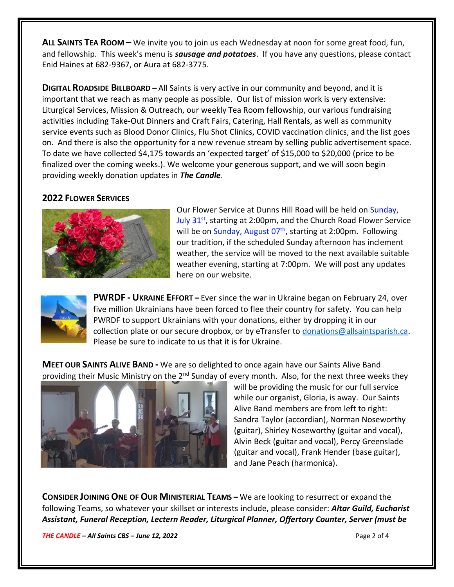**ALL SAINTS TEA ROOM –** We invite you to join us each Wednesday at noon for some great food, fun, and fellowship. This week's menu is *sausage and potatoes*. If you have any questions, please contact Enid Haines at 682-9367, or Aura at 682-3775.

**DIGITAL ROADSIDE BILLBOARD –** All Saints is very active in our community and beyond, and it is important that we reach as many people as possible. Our list of mission work is very extensive: Liturgical Services, Mission & Outreach, our weekly Tea Room fellowship, our various fundraising activities including Take-Out Dinners and Craft Fairs, Catering, Hall Rentals, as well as community service events such as Blood Donor Clinics, Flu Shot Clinics, COVID vaccination clinics, and the list goes on. And there is also the opportunity for a new revenue stream by selling public advertisement space. To date we have collected \$4,175 towards an 'expected target' of \$15,000 to \$20,000 (price to be finalized over the coming weeks.). We welcome your generous support, and we will soon begin providing weekly donation updates in *The Candle*.

## **2022 FLOWER SERVICES**



Our Flower Service at Dunns Hill Road will be held on Sunday, July  $31<sup>st</sup>$ , starting at 2:00pm, and the Church Road Flower Service will be on Sunday, August 07<sup>th</sup>, starting at 2:00pm. Following our tradition, if the scheduled Sunday afternoon has inclement weather, the service will be moved to the next available suitable weather evening, starting at 7:00pm. We will post any updates here on our website.



**PWRDF - UKRAINE EFFORT –** Ever since the war in Ukraine began on February 24, over five million Ukrainians have been forced to flee their country for safety. You can help PWRDF to support Ukrainians with your donations, either by dropping it in our collection plate or our secure dropbox, or by eTransfer to [donations@allsaintsparish.ca.](mailto:donations@allsaintsparish.ca) Please be sure to indicate to us that it is for Ukraine.

**MEET OUR SAINTS ALIVE BAND -** We are so delighted to once again have our Saints Alive Band providing their Music Ministry on the 2<sup>nd</sup> Sunday of every month. Also, for the next three weeks they



will be providing the music for our full service while our organist, Gloria, is away. Our Saints Alive Band members are from left to right: Sandra Taylor (accordian), Norman Noseworthy (guitar), Shirley Noseworthy (guitar and vocal), Alvin Beck (guitar and vocal), Percy Greenslade (guitar and vocal), Frank Hender (base guitar), and Jane Peach (harmonica).

**CONSIDER JOINING ONE OF OUR MINISTERIAL TEAMS –** We are looking to resurrect or expand the following Teams, so whatever your skillset or interests include, please consider: *Altar Guild, Eucharist Assistant, Funeral Reception, Lectern Reader, Liturgical Planner, Offertory Counter, Server (must be* 

*THE CANDLE – All Saints CBS – June 12, 2022* Page 2 of 4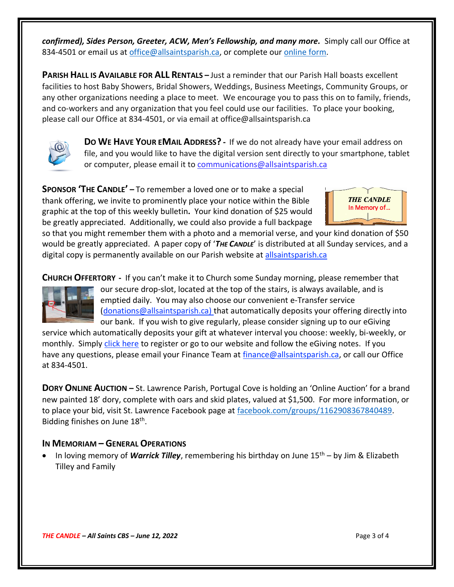*confirmed), Sides Person, Greeter, ACW, Men's Fellowship, and many more.* Simply call our Office at 834-4501 or email us at [office@allsaintsparish.ca,](mailto:office@allsaintsparish.ca) or complete our [online form.](http://allsaintsparish.ca/covid-pre-registration-form_2)

**PARISH HALL IS AVAILABLE FOR ALL RENTALS –** Just a reminder that our Parish Hall boasts excellent facilities to host Baby Showers, Bridal Showers, Weddings, Business Meetings, Community Groups, or any other organizations needing a place to meet. We encourage you to pass this on to family, friends, and co-workers and any organization that you feel could use our facilities. To place your booking, please call our Office at 834-4501, or via email at office@allsaintsparish.ca



**DO WE HAVE YOUR EMAIL ADDRESS? -** If we do not already have your email address on file, and you would like to have the digital version sent directly to your smartphone, tablet or computer, please email it to [communications@allsaintsparish.ca](mailto:communications@allsaintsparish.ca?subject=eMail%20Address%20Update)

**SPONSOR 'THE CANDLE' –** To remember a loved one or to make a special thank offering, we invite to prominently place your notice within the Bible graphic at the top of this weekly bulletin**.** Your kind donation of \$25 would be greatly appreciated. Additionally, we could also provide a full backpage



so that you might remember them with a photo and a memorial verse, and your kind donation of \$50 would be greatly appreciated. A paper copy of '*THE CANDLE*' is distributed at all Sunday services, and a digital copy is permanently available on our Parish website a[t allsaintsparish.ca](http://allsaintsparish.ca/thecandle.html)

**CHURCH OFFERTORY -** If you can't make it to Church some Sunday morning, please remember that



our secure drop-slot, located at the top of the stairs, is always available, and is emptied daily. You may also choose our convenient e-Transfer service [\(donations@allsaintsparish.ca\)](mailto:donations@allsaintsparish.ca) that automatically deposits your offering directly into our bank. If you wish to give regularly, please consider signing up to our eGiving

service which automatically deposits your gift at whatever interval you choose: weekly, bi-weekly, or monthly. Simply [click here](http://allsaintsparish.ca/egiving-online-information-form) to register or go to our website and follow the eGiving notes. If you have [any](https://wfsites-to.websitecreatorprotool.com/870a5dd5.com/Admin/%7BSK_NODEID__22939341__SK%7D) questions, please email your Finance Team at [finance@allsaintsparish.ca,](mailto:finance@allsaintsparish.ca) or call our Office at 834-4501.

**DORY ONLINE AUCTION –** St. Lawrence Parish, Portugal Cove is holding an 'Online Auction' for a brand new painted 18' dory, complete with oars and skid plates, valued at \$1,500. For more information, or to place your bid, visit St. Lawrence Facebook page at [facebook.com/groups/1162908367840489.](http://facebook.com/groups/1162908367840489) Bidding finishes on June 18<sup>th</sup>.

## **IN MEMORIAM – GENERAL OPERATIONS**

• In loving memory of *Warrick Tilley*, remembering his birthday on June 15th – by Jim & Elizabeth Tilley and Family